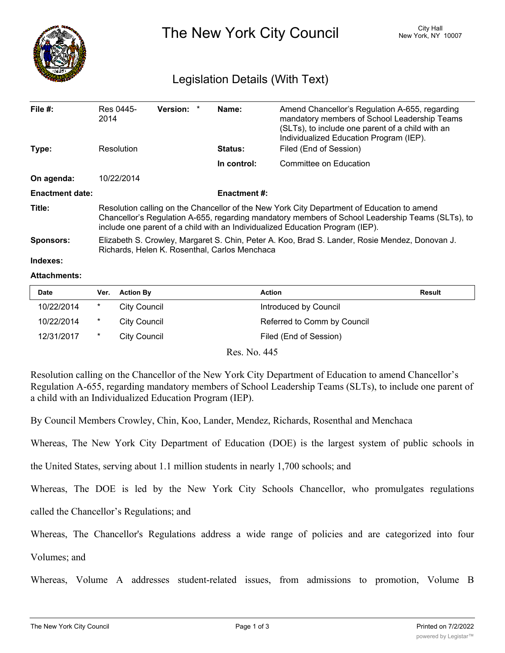

The New York City Council New York, NY 10007

## Legislation Details (With Text)

| File $#$ :             | Res 0445-<br>2014                                                                                                                                                                                                                                                               | <b>Version:</b> |  | Name:          | Amend Chancellor's Regulation A-655, regarding<br>mandatory members of School Leadership Teams<br>(SLTs), to include one parent of a child with an<br>Individualized Education Program (IEP). |  |  |
|------------------------|---------------------------------------------------------------------------------------------------------------------------------------------------------------------------------------------------------------------------------------------------------------------------------|-----------------|--|----------------|-----------------------------------------------------------------------------------------------------------------------------------------------------------------------------------------------|--|--|
| Type:                  | Resolution                                                                                                                                                                                                                                                                      |                 |  | <b>Status:</b> | Filed (End of Session)                                                                                                                                                                        |  |  |
|                        |                                                                                                                                                                                                                                                                                 |                 |  | In control:    | Committee on Education                                                                                                                                                                        |  |  |
| On agenda:             | 10/22/2014                                                                                                                                                                                                                                                                      |                 |  |                |                                                                                                                                                                                               |  |  |
| <b>Enactment date:</b> | <b>Enactment #:</b>                                                                                                                                                                                                                                                             |                 |  |                |                                                                                                                                                                                               |  |  |
| Title:                 | Resolution calling on the Chancellor of the New York City Department of Education to amend<br>Chancellor's Regulation A-655, regarding mandatory members of School Leadership Teams (SLTs), to<br>include one parent of a child with an Individualized Education Program (IEP). |                 |  |                |                                                                                                                                                                                               |  |  |
| <b>Sponsors:</b>       | Elizabeth S. Crowley, Margaret S. Chin, Peter A. Koo, Brad S. Lander, Rosie Mendez, Donovan J.<br>Richards, Helen K. Rosenthal, Carlos Menchaca                                                                                                                                 |                 |  |                |                                                                                                                                                                                               |  |  |
| Indexes:               |                                                                                                                                                                                                                                                                                 |                 |  |                |                                                                                                                                                                                               |  |  |

## **Attachments:**

| <b>Date</b> | Ver. | <b>Action By</b> | <b>Action</b>               | <b>Result</b> |
|-------------|------|------------------|-----------------------------|---------------|
| 10/22/2014  | *    | City Council     | Introduced by Council       |               |
| 10/22/2014  | *    | City Council     | Referred to Comm by Council |               |
| 12/31/2017  | *    | City Council     | Filed (End of Session)      |               |

Res. No. 445

Resolution calling on the Chancellor of the New York City Department of Education to amend Chancellor's Regulation A-655, regarding mandatory members of School Leadership Teams (SLTs), to include one parent of a child with an Individualized Education Program (IEP).

By Council Members Crowley, Chin, Koo, Lander, Mendez, Richards, Rosenthal and Menchaca

Whereas, The New York City Department of Education (DOE) is the largest system of public schools in

the United States, serving about 1.1 million students in nearly 1,700 schools; and

Whereas, The DOE is led by the New York City Schools Chancellor, who promulgates regulations

called the Chancellor's Regulations; and

Whereas, The Chancellor's Regulations address a wide range of policies and are categorized into four

Volumes; and

Whereas, Volume A addresses student-related issues, from admissions to promotion, Volume B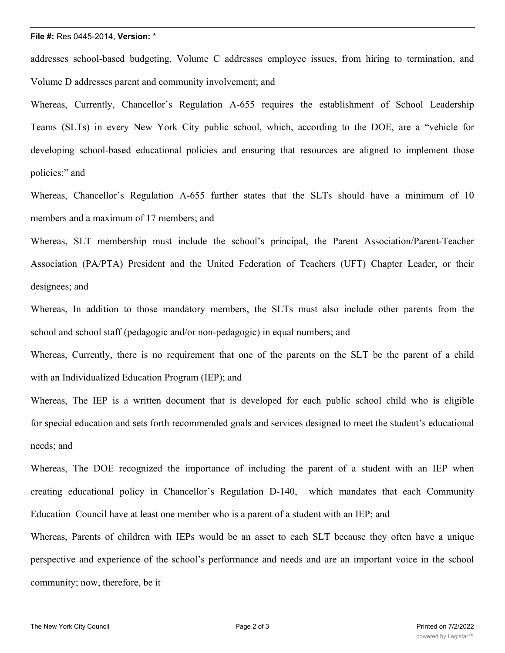## **File #:** Res 0445-2014, **Version:** \*

addresses school-based budgeting, Volume C addresses employee issues, from hiring to termination, and Volume D addresses parent and community involvement; and

Whereas, Currently, Chancellor's Regulation A-655 requires the establishment of School Leadership Teams (SLTs) in every New York City public school, which, according to the DOE, are a "vehicle for developing school-based educational policies and ensuring that resources are aligned to implement those policies;" and

Whereas, Chancellor's Regulation A-655 further states that the SLTs should have a minimum of 10 members and a maximum of 17 members; and

Whereas, SLT membership must include the school's principal, the Parent Association/Parent-Teacher Association (PA/PTA) President and the United Federation of Teachers (UFT) Chapter Leader, or their designees; and

Whereas, In addition to those mandatory members, the SLTs must also include other parents from the school and school staff (pedagogic and/or non-pedagogic) in equal numbers; and

Whereas, Currently, there is no requirement that one of the parents on the SLT be the parent of a child with an Individualized Education Program (IEP); and

Whereas, The IEP is a written document that is developed for each public school child who is eligible for special education and sets forth recommended goals and services designed to meet the student's educational needs; and

Whereas, The DOE recognized the importance of including the parent of a student with an IEP when creating educational policy in Chancellor's Regulation D-140, which mandates that each Community Education Council have at least one member who is a parent of a student with an IEP; and

Whereas, Parents of children with IEPs would be an asset to each SLT because they often have a unique perspective and experience of the school's performance and needs and are an important voice in the school community; now, therefore, be it